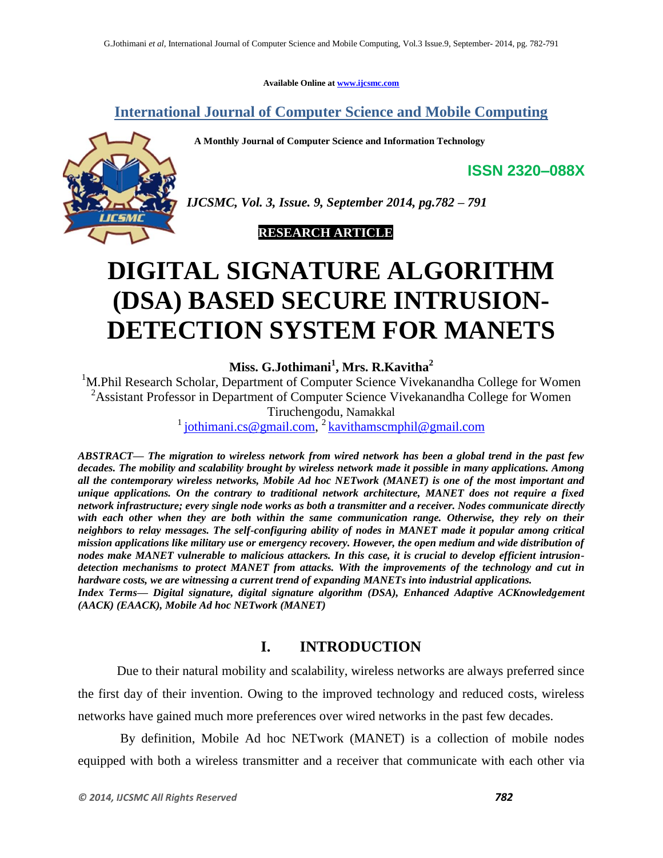**Available Online at www.ijcsmc.com**

**International Journal of Computer Science and Mobile Computing**

 **A Monthly Journal of Computer Science and Information Technology**



*IJCSMC, Vol. 3, Issue. 9, September 2014, pg.782 – 791*

# **RESEARCH ARTICLE**

# **DIGITAL SIGNATURE ALGORITHM (DSA) BASED SECURE INTRUSION-DETECTION SYSTEM FOR MANETS**

**Miss. G.Jothimani<sup>1</sup> , Mrs. R.Kavitha<sup>2</sup>**

<sup>1</sup>M.Phil Research Scholar, Department of Computer Science Vivekanandha College for Women <sup>2</sup>Assistant Professor in Department of Computer Science Vivekanandha College for Women Tiruchengodu, Namakkal

<sup>1</sup> jothimani.cs@gmail.com,<sup>2</sup> kavithamscmphil@gmail.com

*ABSTRACT— The migration to wireless network from wired network has been a global trend in the past few decades. The mobility and scalability brought by wireless network made it possible in many applications. Among all the contemporary wireless networks, Mobile Ad hoc NETwork (MANET) is one of the most important and unique applications. On the contrary to traditional network architecture, MANET does not require a fixed network infrastructure; every single node works as both a transmitter and a receiver. Nodes communicate directly with each other when they are both within the same communication range. Otherwise, they rely on their neighbors to relay messages. The self-configuring ability of nodes in MANET made it popular among critical mission applications like military use or emergency recovery. However, the open medium and wide distribution of nodes make MANET vulnerable to malicious attackers. In this case, it is crucial to develop efficient intrusiondetection mechanisms to protect MANET from attacks. With the improvements of the technology and cut in hardware costs, we are witnessing a current trend of expanding MANETs into industrial applications. Index Terms— Digital signature, digital signature algorithm (DSA), Enhanced Adaptive ACKnowledgement (AACK) (EAACK), Mobile Ad hoc NETwork (MANET)*

# **I. INTRODUCTION**

Due to their natural mobility and scalability, wireless networks are always preferred since the first day of their invention. Owing to the improved technology and reduced costs, wireless networks have gained much more preferences over wired networks in the past few decades.

By definition, Mobile Ad hoc NETwork (MANET) is a collection of mobile nodes equipped with both a wireless transmitter and a receiver that communicate with each other via

**ISSN 2320–088X**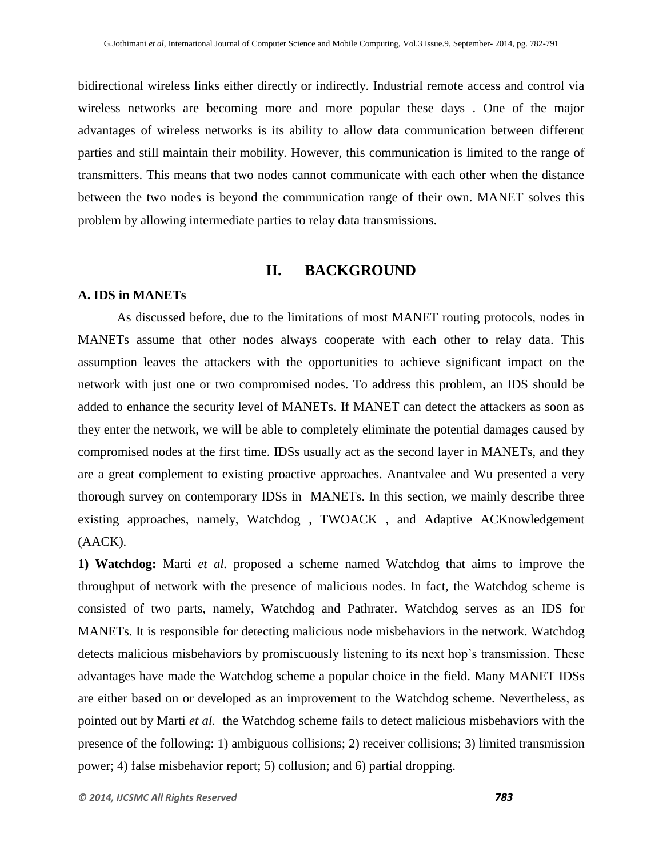bidirectional wireless links either directly or indirectly. Industrial remote access and control via wireless networks are becoming more and more popular these days . One of the major advantages of wireless networks is its ability to allow data communication between different parties and still maintain their mobility. However, this communication is limited to the range of transmitters. This means that two nodes cannot communicate with each other when the distance between the two nodes is beyond the communication range of their own. MANET solves this problem by allowing intermediate parties to relay data transmissions.

# **II. BACKGROUND**

#### **A. IDS in MANETs**

As discussed before, due to the limitations of most MANET routing protocols, nodes in MANETs assume that other nodes always cooperate with each other to relay data. This assumption leaves the attackers with the opportunities to achieve significant impact on the network with just one or two compromised nodes. To address this problem, an IDS should be added to enhance the security level of MANETs. If MANET can detect the attackers as soon as they enter the network, we will be able to completely eliminate the potential damages caused by compromised nodes at the first time. IDSs usually act as the second layer in MANETs, and they are a great complement to existing proactive approaches. Anantvalee and Wu presented a very thorough survey on contemporary IDSs in MANETs. In this section, we mainly describe three existing approaches, namely, Watchdog , TWOACK , and Adaptive ACKnowledgement (AACK).

**1) Watchdog:** Marti *et al.* proposed a scheme named Watchdog that aims to improve the throughput of network with the presence of malicious nodes. In fact, the Watchdog scheme is consisted of two parts, namely, Watchdog and Pathrater. Watchdog serves as an IDS for MANETs. It is responsible for detecting malicious node misbehaviors in the network. Watchdog detects malicious misbehaviors by promiscuously listening to its next hop's transmission. These advantages have made the Watchdog scheme a popular choice in the field. Many MANET IDSs are either based on or developed as an improvement to the Watchdog scheme. Nevertheless, as pointed out by Marti *et al.* the Watchdog scheme fails to detect malicious misbehaviors with the presence of the following: 1) ambiguous collisions; 2) receiver collisions; 3) limited transmission power; 4) false misbehavior report; 5) collusion; and 6) partial dropping.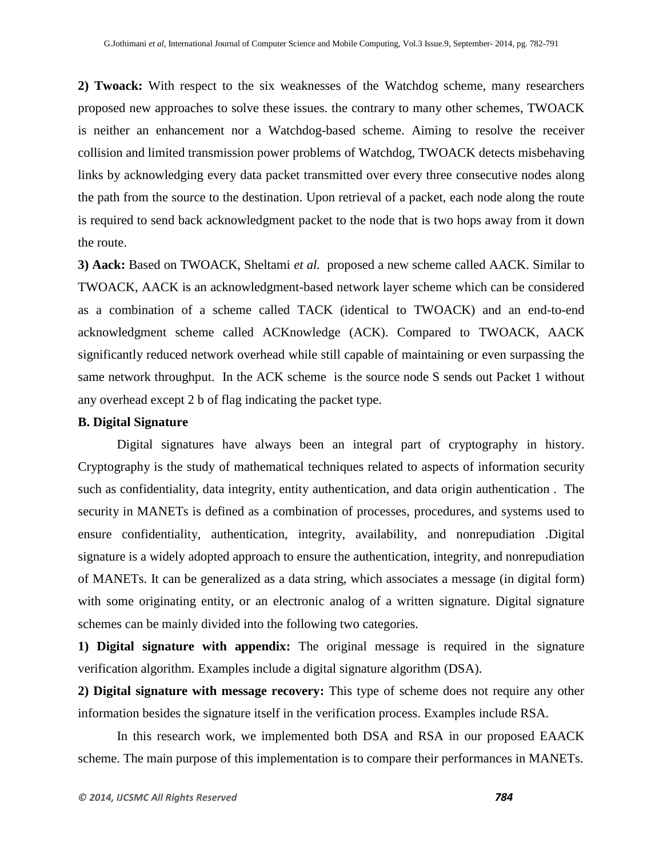**2) Twoack:** With respect to the six weaknesses of the Watchdog scheme, many researchers proposed new approaches to solve these issues. the contrary to many other schemes, TWOACK is neither an enhancement nor a Watchdog-based scheme. Aiming to resolve the receiver collision and limited transmission power problems of Watchdog, TWOACK detects misbehaving links by acknowledging every data packet transmitted over every three consecutive nodes along the path from the source to the destination. Upon retrieval of a packet, each node along the route is required to send back acknowledgment packet to the node that is two hops away from it down the route.

**3) Aack:** Based on TWOACK, Sheltami *et al.* proposed a new scheme called AACK. Similar to TWOACK, AACK is an acknowledgment-based network layer scheme which can be considered as a combination of a scheme called TACK (identical to TWOACK) and an end-to-end acknowledgment scheme called ACKnowledge (ACK). Compared to TWOACK, AACK significantly reduced network overhead while still capable of maintaining or even surpassing the same network throughput. In the ACK scheme is the source node S sends out Packet 1 without any overhead except 2 b of flag indicating the packet type.

#### **B. Digital Signature**

Digital signatures have always been an integral part of cryptography in history. Cryptography is the study of mathematical techniques related to aspects of information security such as confidentiality, data integrity, entity authentication, and data origin authentication . The security in MANETs is defined as a combination of processes, procedures, and systems used to ensure confidentiality, authentication, integrity, availability, and nonrepudiation .Digital signature is a widely adopted approach to ensure the authentication, integrity, and nonrepudiation of MANETs. It can be generalized as a data string, which associates a message (in digital form) with some originating entity, or an electronic analog of a written signature. Digital signature schemes can be mainly divided into the following two categories.

**1) Digital signature with appendix:** The original message is required in the signature verification algorithm. Examples include a digital signature algorithm (DSA).

**2) Digital signature with message recovery:** This type of scheme does not require any other information besides the signature itself in the verification process. Examples include RSA.

In this research work, we implemented both DSA and RSA in our proposed EAACK scheme. The main purpose of this implementation is to compare their performances in MANETs.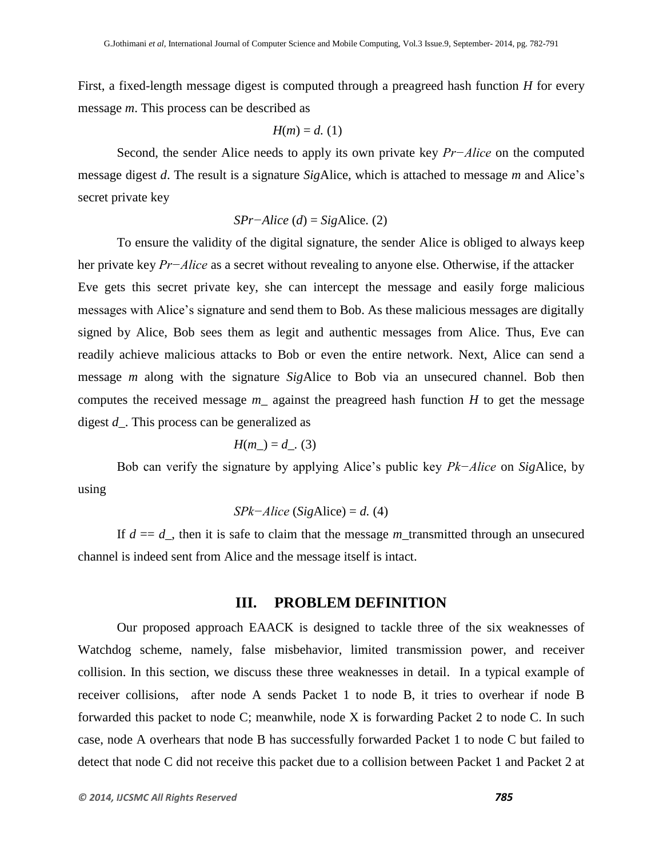First, a fixed-length message digest is computed through a preagreed hash function *H* for every message *m*. This process can be described as

$$
H(m) = d.
$$
 (1)

Second, the sender Alice needs to apply its own private key *Pr−Alice* on the computed message digest *d*. The result is a signature *Sig*Alice, which is attached to message *m* and Alice's secret private key

$$
SPr–Alice (d) = SigAlice. (2)
$$

To ensure the validity of the digital signature, the sender Alice is obliged to always keep her private key *Pr−Alice* as a secret without revealing to anyone else. Otherwise, if the attacker Eve gets this secret private key, she can intercept the message and easily forge malicious messages with Alice's signature and send them to Bob. As these malicious messages are digitally signed by Alice, Bob sees them as legit and authentic messages from Alice. Thus, Eve can readily achieve malicious attacks to Bob or even the entire network. Next, Alice can send a message *m* along with the signature *Sig*Alice to Bob via an unsecured channel. Bob then computes the received message  $m$  against the preagreed hash function  $H$  to get the message digest *d\_*. This process can be generalized as

$$
H(m_{-}) = d_{-}. (3)
$$

Bob can verify the signature by applying Alice's public key *Pk−Alice* on *Sig*Alice, by using

$$
SPk–Alice (SigAlice) = d. (4)
$$

If  $d = d$ , then it is safe to claim that the message *m*\_transmitted through an unsecured channel is indeed sent from Alice and the message itself is intact.

### **III. PROBLEM DEFINITION**

Our proposed approach EAACK is designed to tackle three of the six weaknesses of Watchdog scheme, namely, false misbehavior, limited transmission power, and receiver collision. In this section, we discuss these three weaknesses in detail. In a typical example of receiver collisions, after node A sends Packet 1 to node B, it tries to overhear if node B forwarded this packet to node C; meanwhile, node X is forwarding Packet 2 to node C. In such case, node A overhears that node B has successfully forwarded Packet 1 to node C but failed to detect that node C did not receive this packet due to a collision between Packet 1 and Packet 2 at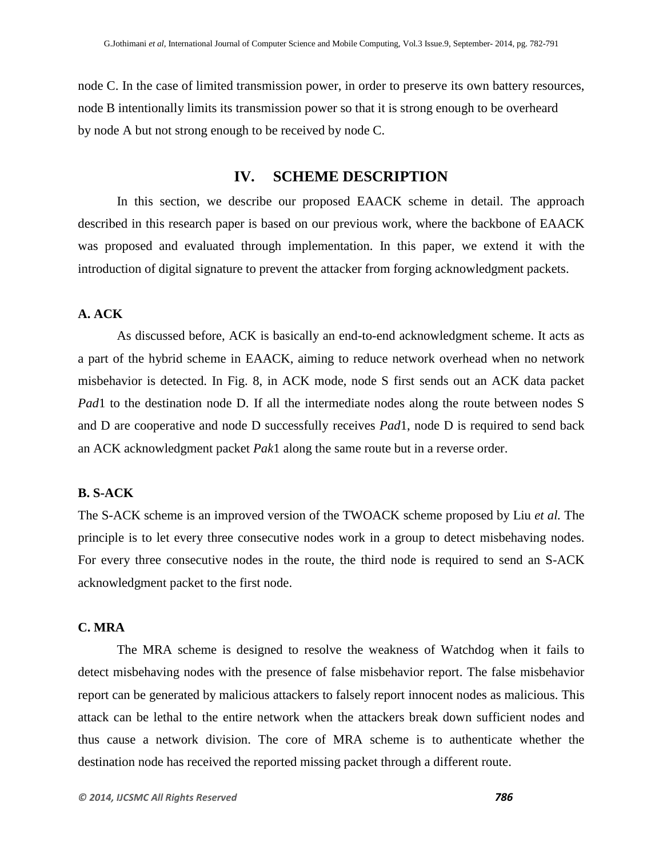node C. In the case of limited transmission power, in order to preserve its own battery resources, node B intentionally limits its transmission power so that it is strong enough to be overheard by node A but not strong enough to be received by node C.

## **IV. SCHEME DESCRIPTION**

In this section, we describe our proposed EAACK scheme in detail. The approach described in this research paper is based on our previous work, where the backbone of EAACK was proposed and evaluated through implementation. In this paper, we extend it with the introduction of digital signature to prevent the attacker from forging acknowledgment packets.

#### **A. ACK**

As discussed before, ACK is basically an end-to-end acknowledgment scheme. It acts as a part of the hybrid scheme in EAACK, aiming to reduce network overhead when no network misbehavior is detected. In Fig. 8, in ACK mode, node S first sends out an ACK data packet *Pad*1 to the destination node D. If all the intermediate nodes along the route between nodes S and D are cooperative and node D successfully receives *Pad*1, node D is required to send back an ACK acknowledgment packet *Pak*1 along the same route but in a reverse order.

#### **B. S-ACK**

The S-ACK scheme is an improved version of the TWOACK scheme proposed by Liu *et al.* The principle is to let every three consecutive nodes work in a group to detect misbehaving nodes. For every three consecutive nodes in the route, the third node is required to send an S-ACK acknowledgment packet to the first node.

#### **C. MRA**

The MRA scheme is designed to resolve the weakness of Watchdog when it fails to detect misbehaving nodes with the presence of false misbehavior report. The false misbehavior report can be generated by malicious attackers to falsely report innocent nodes as malicious. This attack can be lethal to the entire network when the attackers break down sufficient nodes and thus cause a network division. The core of MRA scheme is to authenticate whether the destination node has received the reported missing packet through a different route.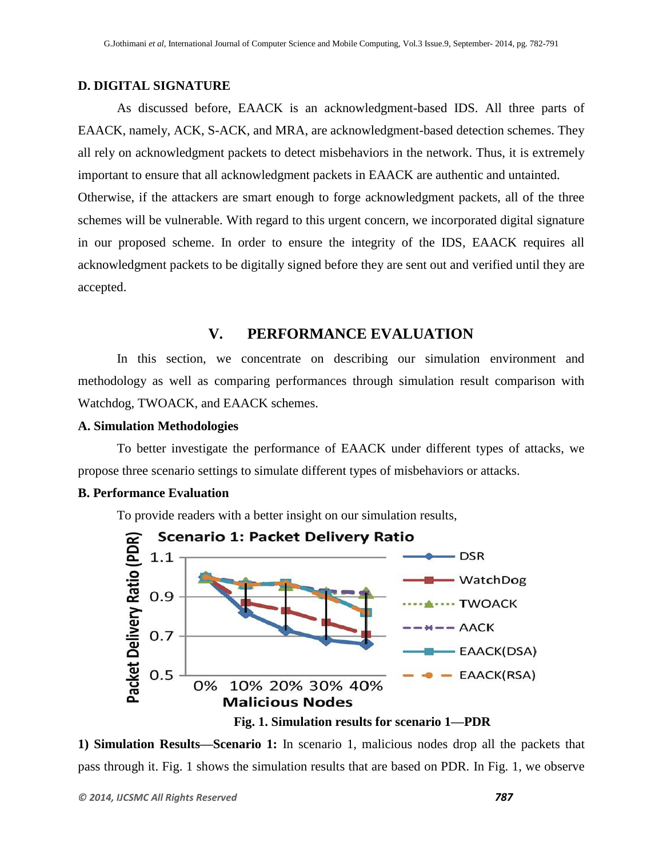#### **D. DIGITAL SIGNATURE**

As discussed before, EAACK is an acknowledgment-based IDS. All three parts of EAACK, namely, ACK, S-ACK, and MRA, are acknowledgment-based detection schemes. They all rely on acknowledgment packets to detect misbehaviors in the network. Thus, it is extremely important to ensure that all acknowledgment packets in EAACK are authentic and untainted. Otherwise, if the attackers are smart enough to forge acknowledgment packets, all of the three schemes will be vulnerable. With regard to this urgent concern, we incorporated digital signature in our proposed scheme. In order to ensure the integrity of the IDS, EAACK requires all acknowledgment packets to be digitally signed before they are sent out and verified until they are accepted.

# **V. PERFORMANCE EVALUATION**

In this section, we concentrate on describing our simulation environment and methodology as well as comparing performances through simulation result comparison with Watchdog, TWOACK, and EAACK schemes.

#### **A. Simulation Methodologies**

To better investigate the performance of EAACK under different types of attacks, we propose three scenario settings to simulate different types of misbehaviors or attacks.

#### **B. Performance Evaluation**

To provide readers with a better insight on our simulation results,



**Fig. 1. Simulation results for scenario 1—PDR**

**1) Simulation Results—Scenario 1:** In scenario 1, malicious nodes drop all the packets that pass through it. Fig. 1 shows the simulation results that are based on PDR. In Fig. 1, we observe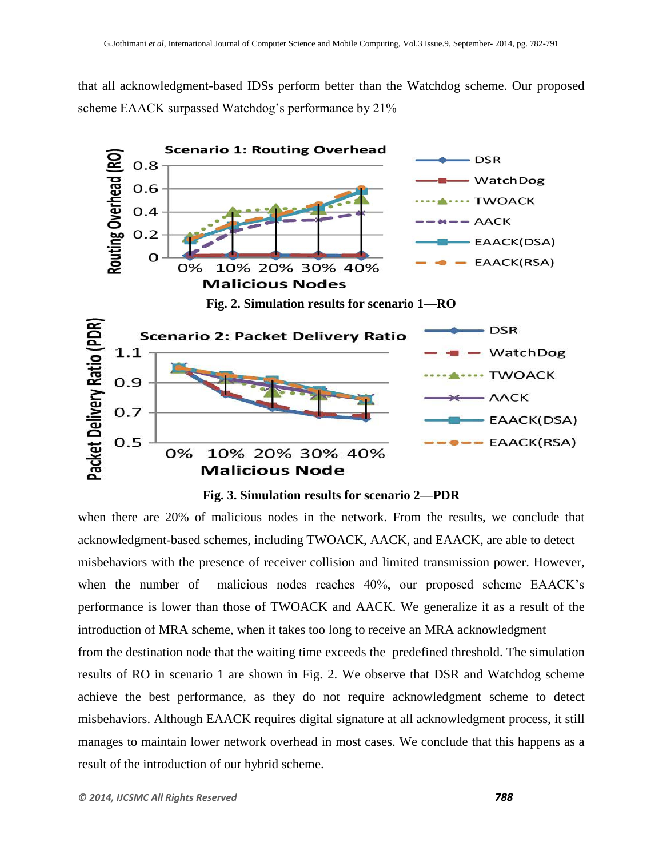that all acknowledgment-based IDSs perform better than the Watchdog scheme. Our proposed scheme EAACK surpassed Watchdog's performance by 21%



**Fig. 3. Simulation results for scenario 2—PDR**

when there are 20% of malicious nodes in the network. From the results, we conclude that acknowledgment-based schemes, including TWOACK, AACK, and EAACK, are able to detect misbehaviors with the presence of receiver collision and limited transmission power. However, when the number of malicious nodes reaches 40%, our proposed scheme EAACK's performance is lower than those of TWOACK and AACK. We generalize it as a result of the introduction of MRA scheme, when it takes too long to receive an MRA acknowledgment from the destination node that the waiting time exceeds the predefined threshold. The simulation results of RO in scenario 1 are shown in Fig. 2. We observe that DSR and Watchdog scheme achieve the best performance, as they do not require acknowledgment scheme to detect misbehaviors. Although EAACK requires digital signature at all acknowledgment process, it still manages to maintain lower network overhead in most cases. We conclude that this happens as a result of the introduction of our hybrid scheme.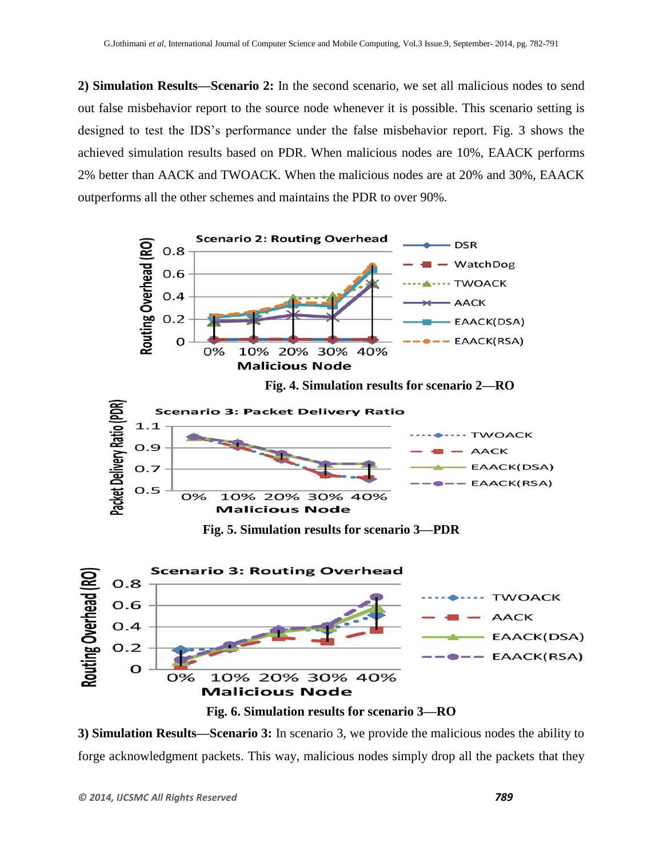**2) Simulation Results—Scenario 2:** In the second scenario, we set all malicious nodes to send out false misbehavior report to the source node whenever it is possible. This scenario setting is designed to test the IDS's performance under the false misbehavior report. Fig. 3 shows the achieved simulation results based on PDR. When malicious nodes are 10%, EAACK performs 2% better than AACK and TWOACK. When the malicious nodes are at 20% and 30%, EAACK outperforms all the other schemes and maintains the PDR to over 90%.





**3) Simulation Results—Scenario 3:** In scenario 3, we provide the malicious nodes the ability to forge acknowledgment packets. This way, malicious nodes simply drop all the packets that they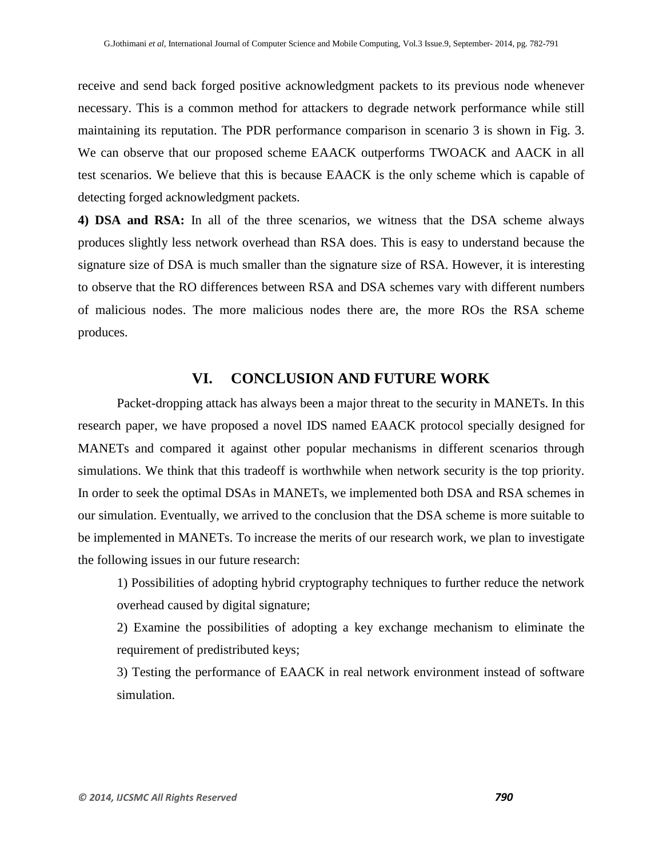receive and send back forged positive acknowledgment packets to its previous node whenever necessary. This is a common method for attackers to degrade network performance while still maintaining its reputation. The PDR performance comparison in scenario 3 is shown in Fig. 3. We can observe that our proposed scheme EAACK outperforms TWOACK and AACK in all test scenarios. We believe that this is because EAACK is the only scheme which is capable of detecting forged acknowledgment packets.

**4) DSA and RSA:** In all of the three scenarios, we witness that the DSA scheme always produces slightly less network overhead than RSA does. This is easy to understand because the signature size of DSA is much smaller than the signature size of RSA. However, it is interesting to observe that the RO differences between RSA and DSA schemes vary with different numbers of malicious nodes. The more malicious nodes there are, the more ROs the RSA scheme produces.

## **VI. CONCLUSION AND FUTURE WORK**

Packet-dropping attack has always been a major threat to the security in MANETs. In this research paper, we have proposed a novel IDS named EAACK protocol specially designed for MANETs and compared it against other popular mechanisms in different scenarios through simulations. We think that this tradeoff is worthwhile when network security is the top priority. In order to seek the optimal DSAs in MANETs, we implemented both DSA and RSA schemes in our simulation. Eventually, we arrived to the conclusion that the DSA scheme is more suitable to be implemented in MANETs. To increase the merits of our research work, we plan to investigate the following issues in our future research:

1) Possibilities of adopting hybrid cryptography techniques to further reduce the network overhead caused by digital signature;

2) Examine the possibilities of adopting a key exchange mechanism to eliminate the requirement of predistributed keys;

3) Testing the performance of EAACK in real network environment instead of software simulation.